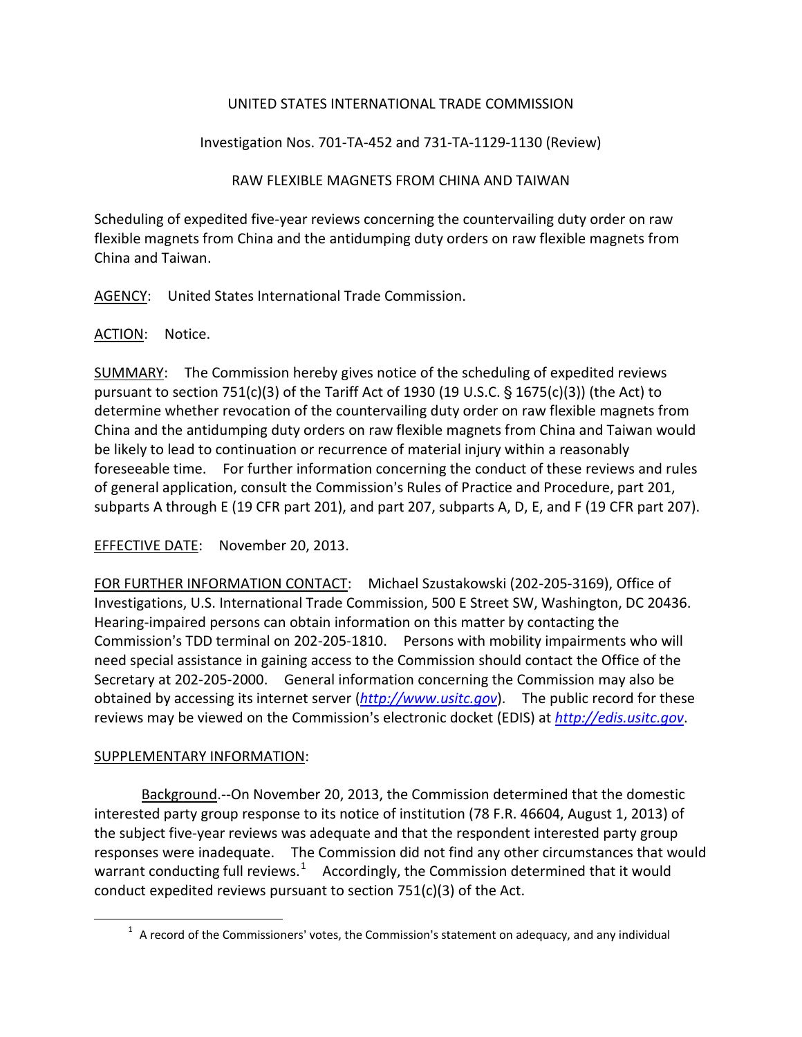## UNITED STATES INTERNATIONAL TRADE COMMISSION

Investigation Nos. 701-TA-452 and 731-TA-1129-1130 (Review)

## RAW FLEXIBLE MAGNETS FROM CHINA AND TAIWAN

Scheduling of expedited five-year reviews concerning the countervailing duty order on raw flexible magnets from China and the antidumping duty orders on raw flexible magnets from China and Taiwan.

AGENCY: United States International Trade Commission.

## ACTION: Notice.

SUMMARY: The Commission hereby gives notice of the scheduling of expedited reviews pursuant to section 751(c)(3) of the Tariff Act of 1930 (19 U.S.C.  $\S$  1675(c)(3)) (the Act) to determine whether revocation of the countervailing duty order on raw flexible magnets from China and the antidumping duty orders on raw flexible magnets from China and Taiwan would be likely to lead to continuation or recurrence of material injury within a reasonably foreseeable time. For further information concerning the conduct of these reviews and rules of general application, consult the Commission's Rules of Practice and Procedure, part 201, subparts A through E (19 CFR part 201), and part 207, subparts A, D, E, and F (19 CFR part 207).

EFFECTIVE DATE: November 20, 2013.

FOR FURTHER INFORMATION CONTACT: Michael Szustakowski (202-205-3169), Office of Investigations, U.S. International Trade Commission, 500 E Street SW, Washington, DC 20436. Hearing-impaired persons can obtain information on this matter by contacting the Commission's TDD terminal on 202-205-1810. Persons with mobility impairments who will need special assistance in gaining access to the Commission should contact the Office of the Secretary at 202-205-2000. General information concerning the Commission may also be obtained by accessing its internet server (*[http://www.usitc.gov](http://www.usitc.gov/)*). The public record for these reviews may be viewed on the Commission's electronic docket (EDIS) at *[http://edis.usitc.gov](http://edis.usitc.gov/).* 

## SUPPLEMENTARY INFORMATION:

<span id="page-0-0"></span> $\overline{a}$ 

Background.--On November 20, 2013, the Commission determined that the domestic interested party group response to its notice of institution (78 F.R. 46604, August 1, 2013) of the subject five-year reviews was adequate and that the respondent interested party group responses were inadequate. The Commission did not find any other circumstances that would warrant conducting full reviews.<sup>[1](#page-0-0)</sup> Accordingly, the Commission determined that it would conduct expedited reviews pursuant to section 751(c)(3) of the Act.

 $1$  A record of the Commissioners' votes, the Commission's statement on adequacy, and any individual